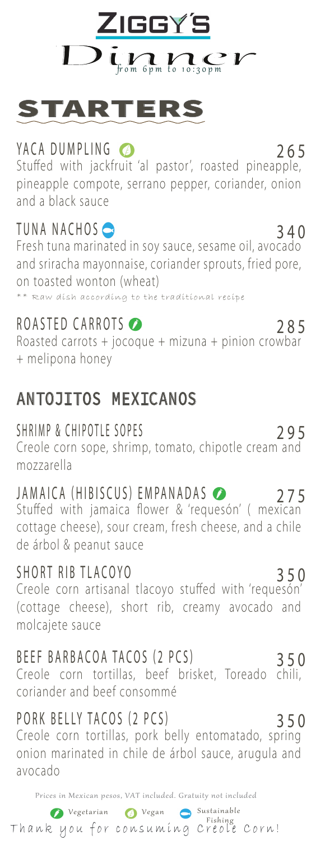



## YACA DUMPLING 265

Stuffed with jackfruit 'al pastor', roasted pineapple, pineapple compote, serrano pepper, coriander, onion and a black sauce

## $T$ UNA NACHOS  $\bigcirc$

Fresh tuna marinated in soy sauce, sesame oil, avocado and sriracha mayonnaise, coriander sprouts, fried pore, on toasted wonton (wheat) \*\* Raw dish according to the traditional recipe

## ROASTED CARROTS 285

Roasted carrots + jocoque + mizuna + pinion crowbar + melipona honey

## ANTOJITOS MEXICANOS

### SHRIMP & CHIPOTLE SOPES

Creole corn sope, shrimp, tomato, chipotle cream and mozzarella

## JAMAICA (HIBISCUS) EMPANADAS 275

Stuffed with jamaica flower & 'requesón' (mexican cottage cheese), sour cream, fresh cheese, and a chile de árbol & peanut sauce

### SHORT RIB TLACOYO 350

Creole corn artisanal tlacoyo stuffed with 'requeson' (cottage cheese), short rib, creamy avocado and molcajete sauce

### BEEF BARBACOA TACOS (2 PCS) 350

Creole corn tortillas, beef brisket, Toreado chili, coriander and beef consommé

## PORK BELLY TACOS (2 PCS) 350

Creole corn tortillas, pork belly entomatado, spring onion marinated in chile de árbol sauce, arugula and avocado

Prices in Mexican pesos, VAT included. Gratuity not included

### Vegetarian Vegan Sustainable Fishing Thank you for consuming Creole Corn!